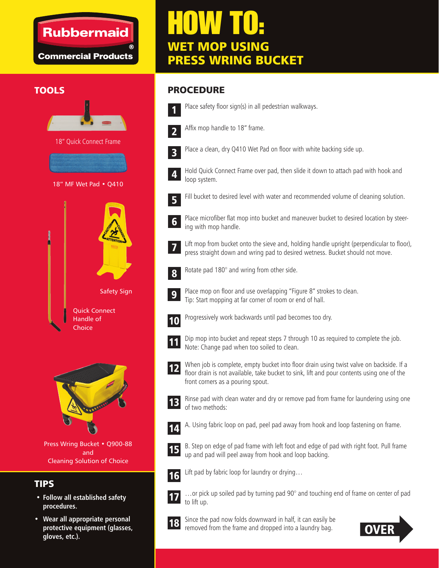## **Rubbermaid**

**Commercial Products** 





Press Wring Bucket • Q900-88 and Cleaning Solution of Choice

### TIPS

- **Follow all established safety procedures.**
- **Wear all appropriate personal protective equipment (glasses, gloves, etc.).**

# HOW TO: WET MOP USING PRESS WRING BUCKET

#### TOOLS PROCEDURE



Place safety floor sign(s) in all pedestrian walkways.



Affix mop handle to 18" frame.



Place a clean, dry Q410 Wet Pad on floor with white backing side up.



Hold Quick Connect Frame over pad, then slide it down to attach pad with hook and loop system.



Fill bucket to desired level with water and recommended volume of cleaning solution.



Place microfiber flat mop into bucket and maneuver bucket to desired location by steering with mop handle.

Lift mop from bucket onto the sieve and, holding handle upright (perpendicular to floor), press straight down and wring pad to desired wetness. Bucket should not move. 7



Rotate pad 180° and wring from other side.



Place mop on floor and use overlapping "Figure 8" strokes to clean. Tip: Start mopping at far corner of room or end of hall.



Progressively work backwards until pad becomes too dry.



Dip mop into bucket and repeat steps 7 through 10 as required to complete the job. Note: Change pad when too soiled to clean.





Rinse pad with clean water and dry or remove pad from frame for laundering using one of two methods:



A. Using fabric loop on pad, peel pad away from hook and loop fastening on frame.



B. Step on edge of pad frame with left foot and edge of pad with right foot. Pull frame up and pad will peel away from hook and loop backing.



Lift pad by fabric loop for laundry or drying…



…or pick up soiled pad by turning pad 90° and touching end of frame on center of pad to lift up.



Since the pad now folds downward in half, it can easily be removed from the frame and dropped into a laundry bag.